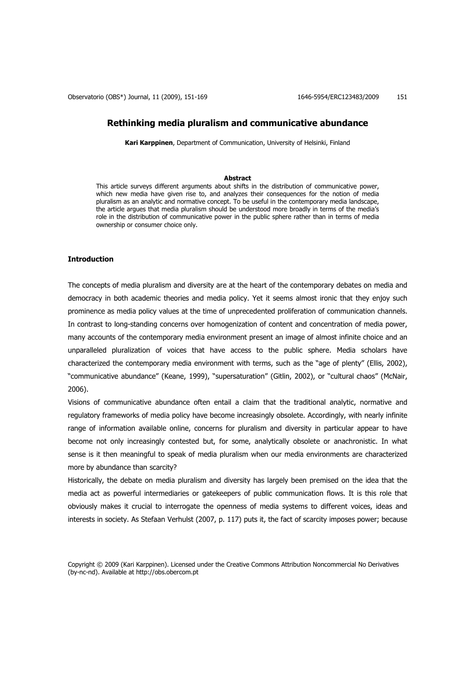Observatorio (OBS\*) Journal, 11 (2009), 151-169 1646 1646-5954/ERC123483/2009 151

# **Rethinking media pluralism and communicative abundance**

**Kari Karppinen**, Department of Communication, University of Helsinki, Finland

### **Abstract**

This article surveys different arguments about shifts in the distribution of communicative power, which new media have given rise to, and analyzes their consequences for the notion of media pluralism as an analytic and normative concept. To be useful in the contemporary media landscape, the article argues that media pluralism should be understood more broadly in terms of the media's role in the distribution of communicative power in the public sphere rather than in terms of media ownership or consumer choice only.

# **Introduction**

The concepts of media pluralism and diversity are at the heart of the contemporary debates on media and democracy in both academic theories and media policy. Yet it seems almost ironic that they enjoy such prominence as media policy values at the time of unprecedented proliferation of communication channels. In contrast to long-standing concerns over homogenization of content and concentration of media power, many accounts of the contemporary media environment present an image of almost infinite choice and an unparalleled pluralization of voices that have access to the public sphere. Media scholars have characterized the contemporary media environment with terms, such as the "age of plenty" (Ellis, 2002), "communicative abundance" (Keane, 1999), "supersaturation" (Gitlin, 2002), or "cultural chaos" (McNair, 2006).

Visions of communicative abundance often entail a claim that the traditional analytic, normative and regulatory frameworks of media policy have become increasingly obsolete. Accordingly, with nearly infinite range of information available online, concerns for pluralism and diversity in particular appear to have become not only increasingly contested but, for some, analytically obsolete or anachronistic. In what sense is it then meaningful to speak of media pluralism when our media environments are characterized more by abundance than scarcity?

Historically, the debate on media pluralism and diversity has largely been premised on the idea that the media act as powerful intermediaries or gatekeepers of public communication flows. It is this role that obviously makes it crucial to interrogate the openness of media systems to different voices, ideas and interests in society. As Stefaan Verhulst (2007, p. 117) puts it, the fact of scarcity imposes power; because

Copyright © 2009 (Kari Karppinen). Licensed under the Creative Commons Attribution Noncommercial No Derivatives (by-nc-nd). Available at http://obs.obercom.pt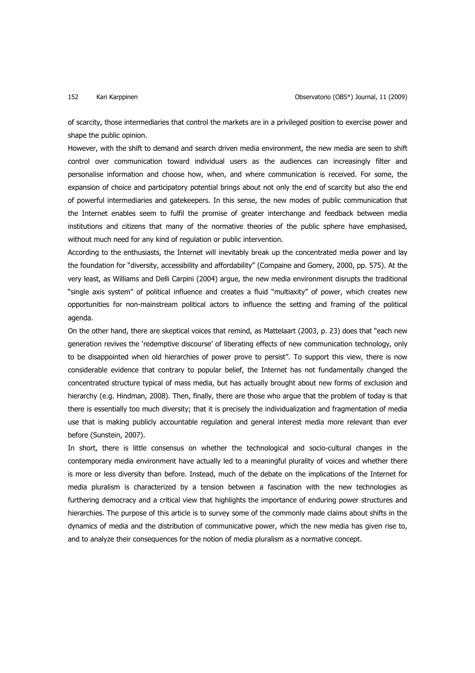of scarcity, those intermediaries that control the markets are in a privileged position to exercise power and shape the public opinion.

However, with the shift to demand and search driven media environment, the new media are seen to shift control over communication toward individual users as the audiences can increasingly filter and personalise information and choose how, when, and where communication is received. For some, the expansion of choice and participatory potential brings about not only the end of scarcity but also the end of powerful intermediaries and gatekeepers. In this sense, the new modes of public communication that the Internet enables seem to fulfil the promise of greater interchange and feedback between media institutions and citizens that many of the normative theories of the public sphere have emphasised, without much need for any kind of regulation or public intervention.

According to the enthusiasts, the Internet will inevitably break up the concentrated media power and lay the foundation for "diversity, accessibility and affordability" (Compaine and Gomery, 2000, pp. 575). At the very least, as Williams and Delli Carpini (2004) argue, the new media environment disrupts the traditional "single axis system" of political influence and creates a fluid "multiaxity" of power, which creates new opportunities for non-mainstream political actors to influence the setting and framing of the political agenda.

On the other hand, there are skeptical voices that remind, as Mattelaart (2003, p. 23) does that "each new generation revives the 'redemptive discourse' of liberating effects of new communication technology, only to be disappointed when old hierarchies of power prove to persist". To support this view, there is now considerable evidence that contrary to popular belief, the Internet has not fundamentally changed the concentrated structure typical of mass media, but has actually brought about new forms of exclusion and hierarchy (e.g. Hindman, 2008). Then, finally, there are those who argue that the problem of today is that there is essentially too much diversity; that it is precisely the individualization and fragmentation of media use that is making publicly accountable regulation and general interest media more relevant than ever before (Sunstein, 2007).

In short, there is little consensus on whether the technological and socio-cultural changes in the contemporary media environment have actually led to a meaningful plurality of voices and whether there is more or less diversity than before. Instead, much of the debate on the implications of the Internet for media pluralism is characterized by a tension between a fascination with the new technologies as furthering democracy and a critical view that highlights the importance of enduring power structures and hierarchies. The purpose of this article is to survey some of the commonly made claims about shifts in the dynamics of media and the distribution of communicative power, which the new media has given rise to, and to analyze their consequences for the notion of media pluralism as a normative concept.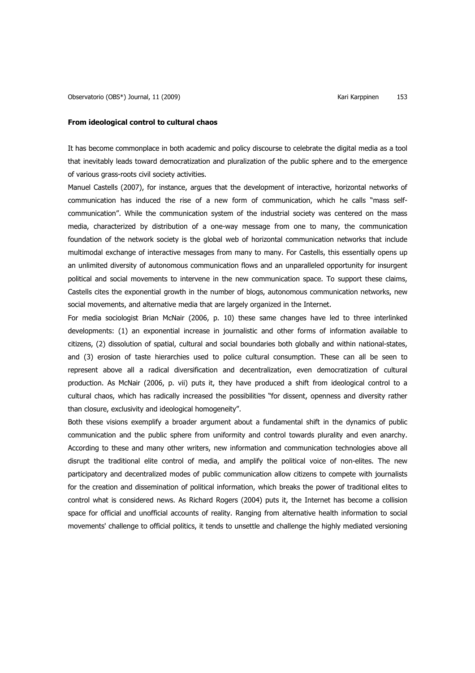It has become commonplace in both academic and policy discourse to celebrate the digital media as a tool that inevitably leads toward democratization and pluralization of the public sphere and to the emergence of various grass-roots civil society activities.

Manuel Castells (2007), for instance, argues that the development of interactive, horizontal networks of communication has induced the rise of a new form of communication, which he calls "mass selfcommunication". While the communication system of the industrial society was centered on the mass media, characterized by distribution of a one-way message from one to many, the communication foundation of the network society is the global web of horizontal communication networks that include multimodal exchange of interactive messages from many to many. For Castells, this essentially opens up an unlimited diversity of autonomous communication flows and an unparalleled opportunity for insurgent political and social movements to intervene in the new communication space. To support these claims, Castells cites the exponential growth in the number of blogs, autonomous communication networks, new social movements, and alternative media that are largely organized in the Internet.

For media sociologist Brian McNair (2006, p. 10) these same changes have led to three interlinked developments: (1) an exponential increase in journalistic and other forms of information available to citizens, (2) dissolution of spatial, cultural and social boundaries both globally and within national-states, and (3) erosion of taste hierarchies used to police cultural consumption. These can all be seen to represent above all a radical diversification and decentralization, even democratization of cultural production. As McNair (2006, p. vii) puts it, they have produced a shift from ideological control to a cultural chaos, which has radically increased the possibilities "for dissent, openness and diversity rather than closure, exclusivity and ideological homogeneity".

Both these visions exemplify a broader argument about a fundamental shift in the dynamics of public communication and the public sphere from uniformity and control towards plurality and even anarchy. According to these and many other writers, new information and communication technologies above all disrupt the traditional elite control of media, and amplify the political voice of non-elites. The new participatory and decentralized modes of public communication allow citizens to compete with journalists for the creation and dissemination of political information, which breaks the power of traditional elites to control what is considered news. As Richard Rogers (2004) puts it, the Internet has become a collision space for official and unofficial accounts of reality. Ranging from alternative health information to social movements' challenge to official politics, it tends to unsettle and challenge the highly mediated versioning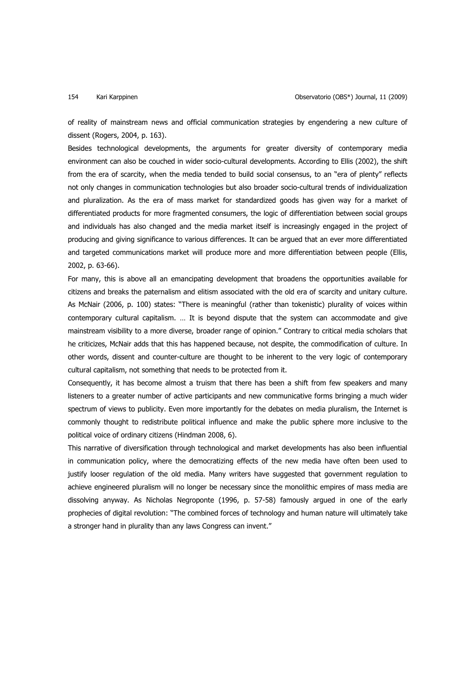of reality of mainstream news and official communication strategies by engendering a new culture of dissent (Rogers, 2004, p. 163).

Besides technological developments, the arguments for greater diversity of contemporary media environment can also be couched in wider socio-cultural developments. According to Ellis (2002), the shift from the era of scarcity, when the media tended to build social consensus, to an "era of plenty" reflects not only changes in communication technologies but also broader socio-cultural trends of individualization and pluralization. As the era of mass market for standardized goods has given way for a market of differentiated products for more fragmented consumers, the logic of differentiation between social groups and individuals has also changed and the media market itself is increasingly engaged in the project of producing and giving significance to various differences. It can be argued that an ever more differentiated and targeted communications market will produce more and more differentiation between people (Ellis, 2002, p. 63-66).

For many, this is above all an emancipating development that broadens the opportunities available for citizens and breaks the paternalism and elitism associated with the old era of scarcity and unitary culture. As McNair (2006, p. 100) states: "There is meaningful (rather than tokenistic) plurality of voices within contemporary cultural capitalism. … It is beyond dispute that the system can accommodate and give mainstream visibility to a more diverse, broader range of opinion." Contrary to critical media scholars that he criticizes, McNair adds that this has happened because, not despite, the commodification of culture. In other words, dissent and counter-culture are thought to be inherent to the very logic of contemporary cultural capitalism, not something that needs to be protected from it.

Consequently, it has become almost a truism that there has been a shift from few speakers and many listeners to a greater number of active participants and new communicative forms bringing a much wider spectrum of views to publicity. Even more importantly for the debates on media pluralism, the Internet is commonly thought to redistribute political influence and make the public sphere more inclusive to the political voice of ordinary citizens (Hindman 2008, 6).

This narrative of diversification through technological and market developments has also been influential in communication policy, where the democratizing effects of the new media have often been used to justify looser regulation of the old media. Many writers have suggested that government regulation to achieve engineered pluralism will no longer be necessary since the monolithic empires of mass media are dissolving anyway. As Nicholas Negroponte (1996, p. 57-58) famously argued in one of the early prophecies of digital revolution: "The combined forces of technology and human nature will ultimately take a stronger hand in plurality than any laws Congress can invent."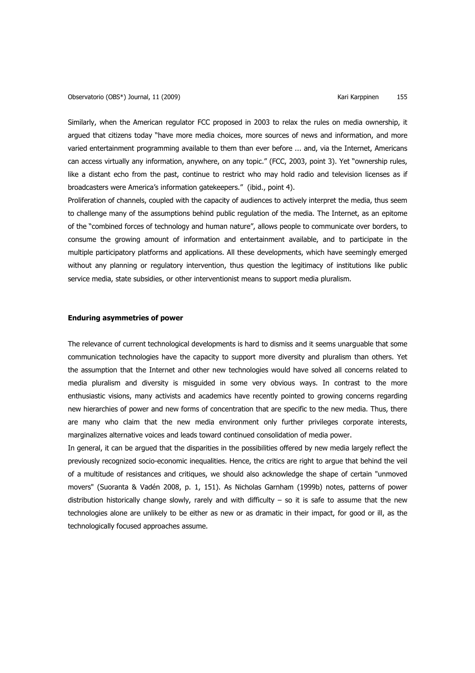Similarly, when the American regulator FCC proposed in 2003 to relax the rules on media ownership, it argued that citizens today "have more media choices, more sources of news and information, and more varied entertainment programming available to them than ever before ... and, via the Internet, Americans can access virtually any information, anywhere, on any topic." (FCC, 2003, point 3). Yet "ownership rules, like a distant echo from the past, continue to restrict who may hold radio and television licenses as if broadcasters were America's information gatekeepers." (ibid., point 4).

Proliferation of channels, coupled with the capacity of audiences to actively interpret the media, thus seem to challenge many of the assumptions behind public regulation of the media. The Internet, as an epitome of the "combined forces of technology and human nature", allows people to communicate over borders, to consume the growing amount of information and entertainment available, and to participate in the multiple participatory platforms and applications. All these developments, which have seemingly emerged without any planning or regulatory intervention, thus question the legitimacy of institutions like public service media, state subsidies, or other interventionist means to support media pluralism.

## **Enduring asymmetries of power**

The relevance of current technological developments is hard to dismiss and it seems unarguable that some communication technologies have the capacity to support more diversity and pluralism than others. Yet the assumption that the Internet and other new technologies would have solved all concerns related to media pluralism and diversity is misguided in some very obvious ways. In contrast to the more enthusiastic visions, many activists and academics have recently pointed to growing concerns regarding new hierarchies of power and new forms of concentration that are specific to the new media. Thus, there are many who claim that the new media environment only further privileges corporate interests, marginalizes alternative voices and leads toward continued consolidation of media power.

In general, it can be argued that the disparities in the possibilities offered by new media largely reflect the previously recognized socio-economic inequalities. Hence, the critics are right to argue that behind the veil of a multitude of resistances and critiques, we should also acknowledge the shape of certain "unmoved movers" (Suoranta & Vadén 2008, p. 1, 151). As Nicholas Garnham (1999b) notes, patterns of power distribution historically change slowly, rarely and with difficulty – so it is safe to assume that the new technologies alone are unlikely to be either as new or as dramatic in their impact, for good or ill, as the technologically focused approaches assume.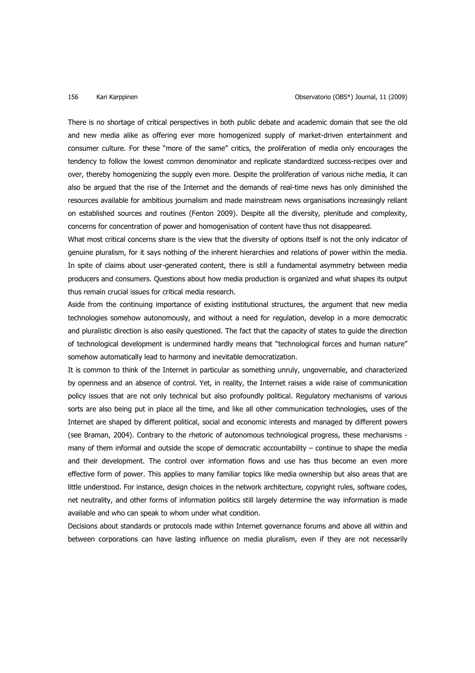There is no shortage of critical perspectives in both public debate and academic domain that see the old and new media alike as offering ever more homogenized supply of market-driven entertainment and consumer culture. For these "more of the same" critics, the proliferation of media only encourages the tendency to follow the lowest common denominator and replicate standardized success-recipes over and over, thereby homogenizing the supply even more. Despite the proliferation of various niche media, it can also be argued that the rise of the Internet and the demands of real-time news has only diminished the resources available for ambitious journalism and made mainstream news organisations increasingly reliant on established sources and routines (Fenton 2009). Despite all the diversity, plenitude and complexity, concerns for concentration of power and homogenisation of content have thus not disappeared.

What most critical concerns share is the view that the diversity of options itself is not the only indicator of genuine pluralism, for it says nothing of the inherent hierarchies and relations of power within the media. In spite of claims about user-generated content, there is still a fundamental asymmetry between media producers and consumers. Questions about how media production is organized and what shapes its output thus remain crucial issues for critical media research.

Aside from the continuing importance of existing institutional structures, the argument that new media technologies somehow autonomously, and without a need for regulation, develop in a more democratic and pluralistic direction is also easily questioned. The fact that the capacity of states to guide the direction of technological development is undermined hardly means that "technological forces and human nature" somehow automatically lead to harmony and inevitable democratization.

It is common to think of the Internet in particular as something unruly, ungovernable, and characterized by openness and an absence of control. Yet, in reality, the Internet raises a wide raise of communication policy issues that are not only technical but also profoundly political. Regulatory mechanisms of various sorts are also being put in place all the time, and like all other communication technologies, uses of the Internet are shaped by different political, social and economic interests and managed by different powers (see Braman, 2004). Contrary to the rhetoric of autonomous technological progress, these mechanisms many of them informal and outside the scope of democratic accountability – continue to shape the media and their development. The control over information flows and use has thus become an even more effective form of power. This applies to many familiar topics like media ownership but also areas that are little understood. For instance, design choices in the network architecture, copyright rules, software codes, net neutrality, and other forms of information politics still largely determine the way information is made available and who can speak to whom under what condition.

Decisions about standards or protocols made within Internet governance forums and above all within and between corporations can have lasting influence on media pluralism, even if they are not necessarily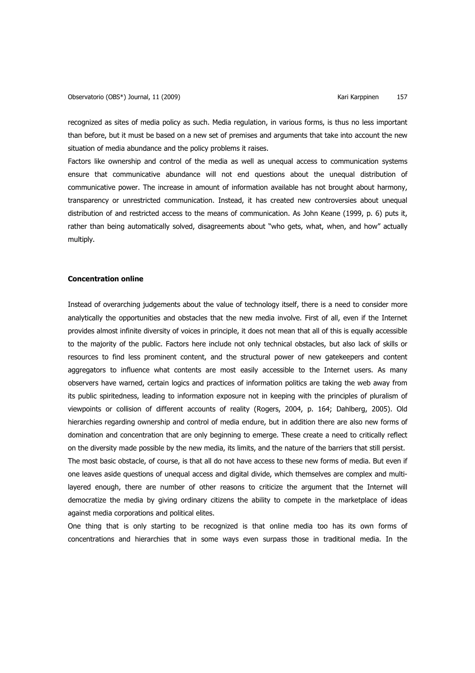recognized as sites of media policy as such. Media regulation, in various forms, is thus no less important than before, but it must be based on a new set of premises and arguments that take into account the new situation of media abundance and the policy problems it raises.

Factors like ownership and control of the media as well as unequal access to communication systems ensure that communicative abundance will not end questions about the unequal distribution of communicative power. The increase in amount of information available has not brought about harmony, transparency or unrestricted communication. Instead, it has created new controversies about unequal distribution of and restricted access to the means of communication. As John Keane (1999, p. 6) puts it, rather than being automatically solved, disagreements about "who gets, what, when, and how" actually multiply.

# **Concentration online**

Instead of overarching judgements about the value of technology itself, there is a need to consider more analytically the opportunities and obstacles that the new media involve. First of all, even if the Internet provides almost infinite diversity of voices in principle, it does not mean that all of this is equally accessible to the majority of the public. Factors here include not only technical obstacles, but also lack of skills or resources to find less prominent content, and the structural power of new gatekeepers and content aggregators to influence what contents are most easily accessible to the Internet users. As many observers have warned, certain logics and practices of information politics are taking the web away from its public spiritedness, leading to information exposure not in keeping with the principles of pluralism of viewpoints or collision of different accounts of reality (Rogers, 2004, p. 164; Dahlberg, 2005). Old hierarchies regarding ownership and control of media endure, but in addition there are also new forms of domination and concentration that are only beginning to emerge. These create a need to critically reflect on the diversity made possible by the new media, its limits, and the nature of the barriers that still persist. The most basic obstacle, of course, is that all do not have access to these new forms of media. But even if one leaves aside questions of unequal access and digital divide, which themselves are complex and multilayered enough, there are number of other reasons to criticize the argument that the Internet will democratize the media by giving ordinary citizens the ability to compete in the marketplace of ideas

against media corporations and political elites.

One thing that is only starting to be recognized is that online media too has its own forms of concentrations and hierarchies that in some ways even surpass those in traditional media. In the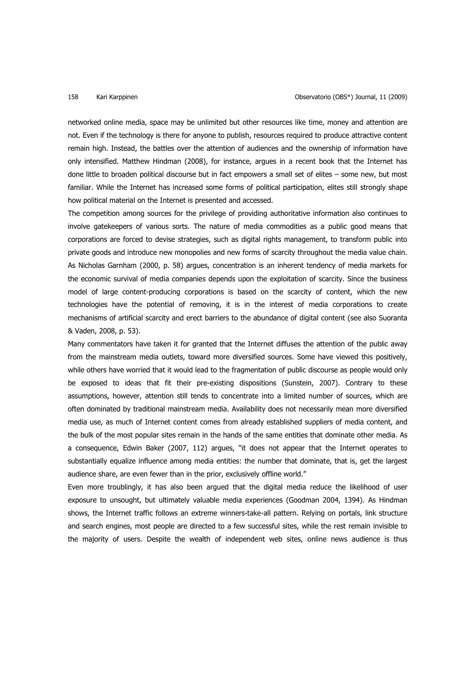networked online media, space may be unlimited but other resources like time, money and attention are not. Even if the technology is there for anyone to publish, resources required to produce attractive content remain high. Instead, the battles over the attention of audiences and the ownership of information have only intensified. Matthew Hindman (2008), for instance, argues in a recent book that the Internet has done little to broaden political discourse but in fact empowers a small set of elites – some new, but most familiar. While the Internet has increased some forms of political participation, elites still strongly shape how political material on the Internet is presented and accessed.

The competition among sources for the privilege of providing authoritative information also continues to involve gatekeepers of various sorts. The nature of media commodities as a public good means that corporations are forced to devise strategies, such as digital rights management, to transform public into private goods and introduce new monopolies and new forms of scarcity throughout the media value chain. As Nicholas Garnham (2000, p. 58) argues, concentration is an inherent tendency of media markets for the economic survival of media companies depends upon the exploitation of scarcity. Since the business model of large content-producing corporations is based on the scarcity of content, which the new technologies have the potential of removing, it is in the interest of media corporations to create mechanisms of artificial scarcity and erect barriers to the abundance of digital content (see also Suoranta & Vaden, 2008, p. 53).

Many commentators have taken it for granted that the Internet diffuses the attention of the public away from the mainstream media outlets, toward more diversified sources. Some have viewed this positively, while others have worried that it would lead to the fragmentation of public discourse as people would only be exposed to ideas that fit their pre-existing dispositions (Sunstein, 2007). Contrary to these assumptions, however, attention still tends to concentrate into a limited number of sources, which are often dominated by traditional mainstream media. Availability does not necessarily mean more diversified media use, as much of Internet content comes from already established suppliers of media content, and the bulk of the most popular sites remain in the hands of the same entities that dominate other media. As a consequence, Edwin Baker (2007, 112) argues, "it does not appear that the Internet operates to substantially equalize influence among media entities: the number that dominate, that is, get the largest audience share, are even fewer than in the prior, exclusively offline world."

Even more troublingly, it has also been argued that the digital media reduce the likelihood of user exposure to unsought, but ultimately valuable media experiences (Goodman 2004, 1394). As Hindman shows, the Internet traffic follows an extreme winners-take-all pattern. Relying on portals, link structure and search engines, most people are directed to a few successful sites, while the rest remain invisible to the majority of users. Despite the wealth of independent web sites, online news audience is thus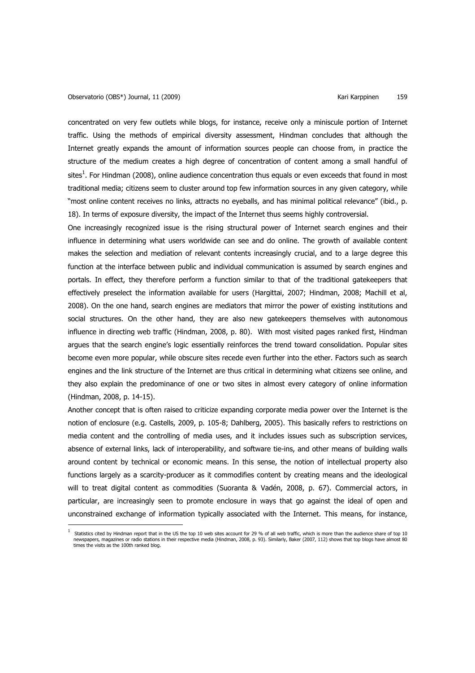concentrated on very few outlets while blogs, for instance, receive only a miniscule portion of Internet traffic. Using the methods of empirical diversity assessment, Hindman concludes that although the Internet greatly expands the amount of information sources people can choose from, in practice the structure of the medium creates a high degree of concentration of content among a small handful of sites<sup>1</sup>. For Hindman (2008), online audience concentration thus equals or even exceeds that found in most traditional media; citizens seem to cluster around top few information sources in any given category, while "most online content receives no links, attracts no eyeballs, and has minimal political relevance" (ibid., p. 18). In terms of exposure diversity, the impact of the Internet thus seems highly controversial.

One increasingly recognized issue is the rising structural power of Internet search engines and their influence in determining what users worldwide can see and do online. The growth of available content makes the selection and mediation of relevant contents increasingly crucial, and to a large degree this function at the interface between public and individual communication is assumed by search engines and portals. In effect, they therefore perform a function similar to that of the traditional gatekeepers that effectively preselect the information available for users (Hargittai, 2007; Hindman, 2008; Machill et al, 2008). On the one hand, search engines are mediators that mirror the power of existing institutions and social structures. On the other hand, they are also new gatekeepers themselves with autonomous influence in directing web traffic (Hindman, 2008, p. 80). With most visited pages ranked first, Hindman argues that the search engine's logic essentially reinforces the trend toward consolidation. Popular sites become even more popular, while obscure sites recede even further into the ether. Factors such as search engines and the link structure of the Internet are thus critical in determining what citizens see online, and they also explain the predominance of one or two sites in almost every category of online information (Hindman, 2008, p. 14-15).

Another concept that is often raised to criticize expanding corporate media power over the Internet is the notion of enclosure (e.g. Castells, 2009, p. 105-8; Dahlberg, 2005). This basically refers to restrictions on media content and the controlling of media uses, and it includes issues such as subscription services, absence of external links, lack of interoperability, and software tie-ins, and other means of building walls around content by technical or economic means. In this sense, the notion of intellectual property also functions largely as a scarcity-producer as it commodifies content by creating means and the ideological will to treat digital content as commodities (Suoranta & Vadén, 2008, p. 67). Commercial actors, in particular, are increasingly seen to promote enclosure in ways that go against the ideal of open and unconstrained exchange of information typically associated with the Internet. This means, for instance, l

<sup>1</sup> Statistics cited by Hindman report that in the US the top 10 web sites account for 29 % of all web traffic, which is more than the audience share of top 10 newspapers, magazines or radio stations in their respective media (Hindman, 2008, p. 93). Similarly, Baker (2007, 112) shows that top blogs have almost 80<br>times the visits as the 100th ranked blog.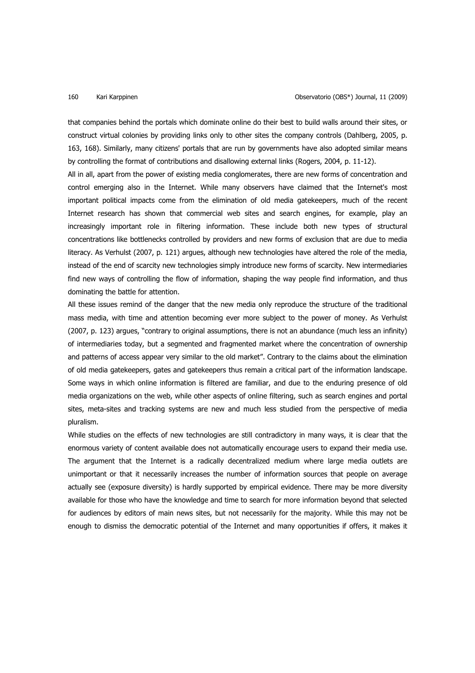that companies behind the portals which dominate online do their best to build walls around their sites, or construct virtual colonies by providing links only to other sites the company controls (Dahlberg, 2005, p. 163, 168). Similarly, many citizens' portals that are run by governments have also adopted similar means by controlling the format of contributions and disallowing external links (Rogers, 2004, p. 11-12).

All in all, apart from the power of existing media conglomerates, there are new forms of concentration and control emerging also in the Internet. While many observers have claimed that the Internet's most important political impacts come from the elimination of old media gatekeepers, much of the recent Internet research has shown that commercial web sites and search engines, for example, play an increasingly important role in filtering information. These include both new types of structural concentrations like bottlenecks controlled by providers and new forms of exclusion that are due to media literacy. As Verhulst (2007, p. 121) argues, although new technologies have altered the role of the media, instead of the end of scarcity new technologies simply introduce new forms of scarcity. New intermediaries find new ways of controlling the flow of information, shaping the way people find information, and thus dominating the battle for attention.

All these issues remind of the danger that the new media only reproduce the structure of the traditional mass media, with time and attention becoming ever more subject to the power of money. As Verhulst (2007, p. 123) argues, "contrary to original assumptions, there is not an abundance (much less an infinity) of intermediaries today, but a segmented and fragmented market where the concentration of ownership and patterns of access appear very similar to the old market". Contrary to the claims about the elimination of old media gatekeepers, gates and gatekeepers thus remain a critical part of the information landscape. Some ways in which online information is filtered are familiar, and due to the enduring presence of old media organizations on the web, while other aspects of online filtering, such as search engines and portal sites, meta-sites and tracking systems are new and much less studied from the perspective of media pluralism.

While studies on the effects of new technologies are still contradictory in many ways, it is clear that the enormous variety of content available does not automatically encourage users to expand their media use. The argument that the Internet is a radically decentralized medium where large media outlets are unimportant or that it necessarily increases the number of information sources that people on average actually see (exposure diversity) is hardly supported by empirical evidence. There may be more diversity available for those who have the knowledge and time to search for more information beyond that selected for audiences by editors of main news sites, but not necessarily for the majority. While this may not be enough to dismiss the democratic potential of the Internet and many opportunities if offers, it makes it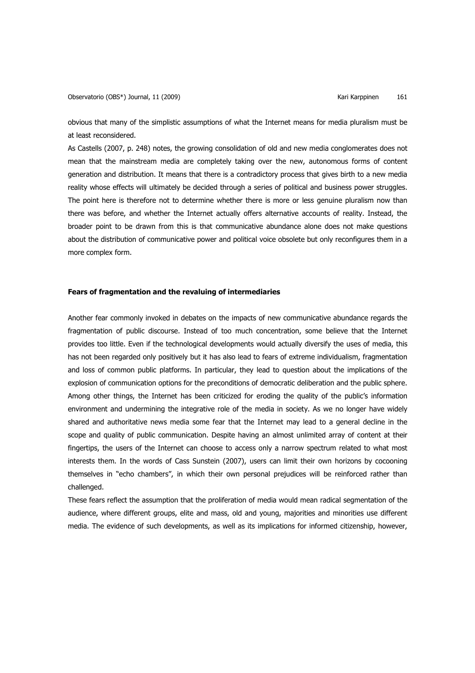obvious that many of the simplistic assumptions of what the Internet means for media pluralism must be at least reconsidered.

As Castells (2007, p. 248) notes, the growing consolidation of old and new media conglomerates does not mean that the mainstream media are completely taking over the new, autonomous forms of content generation and distribution. It means that there is a contradictory process that gives birth to a new media reality whose effects will ultimately be decided through a series of political and business power struggles. The point here is therefore not to determine whether there is more or less genuine pluralism now than there was before, and whether the Internet actually offers alternative accounts of reality. Instead, the broader point to be drawn from this is that communicative abundance alone does not make questions about the distribution of communicative power and political voice obsolete but only reconfigures them in a more complex form.

## **Fears of fragmentation and the revaluing of intermediaries**

Another fear commonly invoked in debates on the impacts of new communicative abundance regards the fragmentation of public discourse. Instead of too much concentration, some believe that the Internet provides too little. Even if the technological developments would actually diversify the uses of media, this has not been regarded only positively but it has also lead to fears of extreme individualism, fragmentation and loss of common public platforms. In particular, they lead to question about the implications of the explosion of communication options for the preconditions of democratic deliberation and the public sphere. Among other things, the Internet has been criticized for eroding the quality of the public's information environment and undermining the integrative role of the media in society. As we no longer have widely shared and authoritative news media some fear that the Internet may lead to a general decline in the scope and quality of public communication. Despite having an almost unlimited array of content at their fingertips, the users of the Internet can choose to access only a narrow spectrum related to what most interests them. In the words of Cass Sunstein (2007), users can limit their own horizons by cocooning themselves in "echo chambers", in which their own personal prejudices will be reinforced rather than challenged.

These fears reflect the assumption that the proliferation of media would mean radical segmentation of the audience, where different groups, elite and mass, old and young, majorities and minorities use different media. The evidence of such developments, as well as its implications for informed citizenship, however,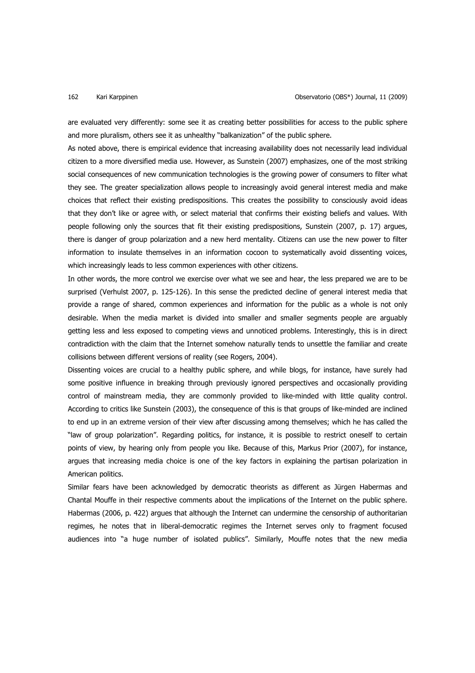are evaluated very differently: some see it as creating better possibilities for access to the public sphere and more pluralism, others see it as unhealthy "balkanization" of the public sphere.

As noted above, there is empirical evidence that increasing availability does not necessarily lead individual citizen to a more diversified media use. However, as Sunstein (2007) emphasizes, one of the most striking social consequences of new communication technologies is the growing power of consumers to filter what they see. The greater specialization allows people to increasingly avoid general interest media and make choices that reflect their existing predispositions. This creates the possibility to consciously avoid ideas that they don't like or agree with, or select material that confirms their existing beliefs and values. With people following only the sources that fit their existing predispositions, Sunstein (2007, p. 17) argues, there is danger of group polarization and a new herd mentality. Citizens can use the new power to filter information to insulate themselves in an information cocoon to systematically avoid dissenting voices, which increasingly leads to less common experiences with other citizens.

In other words, the more control we exercise over what we see and hear, the less prepared we are to be surprised (Verhulst 2007, p. 125-126). In this sense the predicted decline of general interest media that provide a range of shared, common experiences and information for the public as a whole is not only desirable. When the media market is divided into smaller and smaller segments people are arguably getting less and less exposed to competing views and unnoticed problems. Interestingly, this is in direct contradiction with the claim that the Internet somehow naturally tends to unsettle the familiar and create collisions between different versions of reality (see Rogers, 2004).

Dissenting voices are crucial to a healthy public sphere, and while blogs, for instance, have surely had some positive influence in breaking through previously ignored perspectives and occasionally providing control of mainstream media, they are commonly provided to like-minded with little quality control. According to critics like Sunstein (2003), the consequence of this is that groups of like-minded are inclined to end up in an extreme version of their view after discussing among themselves; which he has called the "law of group polarization". Regarding politics, for instance, it is possible to restrict oneself to certain points of view, by hearing only from people you like. Because of this, Markus Prior (2007), for instance, argues that increasing media choice is one of the key factors in explaining the partisan polarization in American politics.

Similar fears have been acknowledged by democratic theorists as different as Jürgen Habermas and Chantal Mouffe in their respective comments about the implications of the Internet on the public sphere. Habermas (2006, p. 422) argues that although the Internet can undermine the censorship of authoritarian regimes, he notes that in liberal-democratic regimes the Internet serves only to fragment focused audiences into "a huge number of isolated publics". Similarly, Mouffe notes that the new media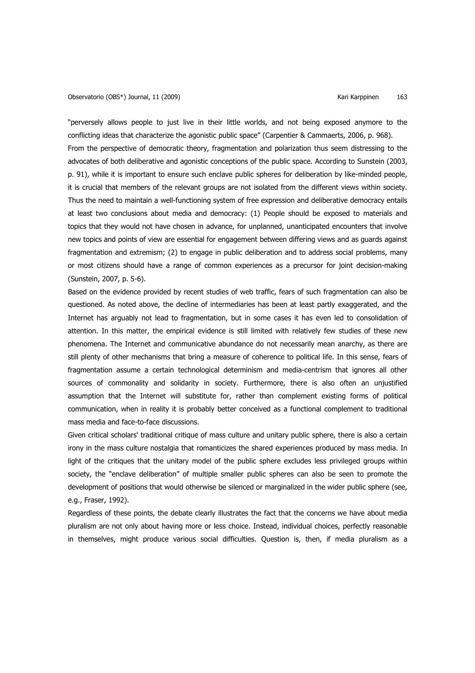"perversely allows people to just live in their little worlds, and not being exposed anymore to the conflicting ideas that characterize the agonistic public space" (Carpentier & Cammaerts, 2006, p. 968). From the perspective of democratic theory, fragmentation and polarization thus seem distressing to the advocates of both deliberative and agonistic conceptions of the public space. According to Sunstein (2003, p. 91), while it is important to ensure such enclave public spheres for deliberation by like-minded people, it is crucial that members of the relevant groups are not isolated from the different views within society. Thus the need to maintain a well-functioning system of free expression and deliberative democracy entails at least two conclusions about media and democracy: (1) People should be exposed to materials and topics that they would not have chosen in advance, for unplanned, unanticipated encounters that involve new topics and points of view are essential for engagement between differing views and as guards against fragmentation and extremism; (2) to engage in public deliberation and to address social problems, many or most citizens should have a range of common experiences as a precursor for joint decision-making (Sunstein, 2007, p. 5-6).

Based on the evidence provided by recent studies of web traffic, fears of such fragmentation can also be questioned. As noted above, the decline of intermediaries has been at least partly exaggerated, and the Internet has arguably not lead to fragmentation, but in some cases it has even led to consolidation of attention. In this matter, the empirical evidence is still limited with relatively few studies of these new phenomena. The Internet and communicative abundance do not necessarily mean anarchy, as there are still plenty of other mechanisms that bring a measure of coherence to political life. In this sense, fears of fragmentation assume a certain technological determinism and media-centrism that ignores all other sources of commonality and solidarity in society. Furthermore, there is also often an unjustified assumption that the Internet will substitute for, rather than complement existing forms of political communication, when in reality it is probably better conceived as a functional complement to traditional mass media and face-to-face discussions.

Given critical scholars' traditional critique of mass culture and unitary public sphere, there is also a certain irony in the mass culture nostalgia that romanticizes the shared experiences produced by mass media. In light of the critiques that the unitary model of the public sphere excludes less privileged groups within society, the "enclave deliberation" of multiple smaller public spheres can also be seen to promote the development of positions that would otherwise be silenced or marginalized in the wider public sphere (see, e.g., Fraser, 1992).

Regardless of these points, the debate clearly illustrates the fact that the concerns we have about media pluralism are not only about having more or less choice. Instead, individual choices, perfectly reasonable in themselves, might produce various social difficulties. Question is, then, if media pluralism as a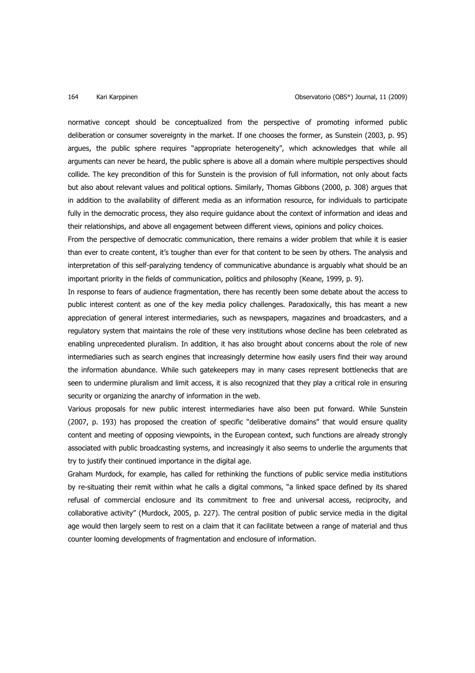normative concept should be conceptualized from the perspective of promoting informed public deliberation or consumer sovereignty in the market. If one chooses the former, as Sunstein (2003, p. 95) argues, the public sphere requires "appropriate heterogeneity", which acknowledges that while all arguments can never be heard, the public sphere is above all a domain where multiple perspectives should collide. The key precondition of this for Sunstein is the provision of full information, not only about facts but also about relevant values and political options. Similarly, Thomas Gibbons (2000, p. 308) argues that in addition to the availability of different media as an information resource, for individuals to participate fully in the democratic process, they also require guidance about the context of information and ideas and their relationships, and above all engagement between different views, opinions and policy choices.

From the perspective of democratic communication, there remains a wider problem that while it is easier than ever to create content, it's tougher than ever for that content to be seen by others. The analysis and interpretation of this self-paralyzing tendency of communicative abundance is arguably what should be an important priority in the fields of communication, politics and philosophy (Keane, 1999, p. 9).

In response to fears of audience fragmentation, there has recently been some debate about the access to public interest content as one of the key media policy challenges. Paradoxically, this has meant a new appreciation of general interest intermediaries, such as newspapers, magazines and broadcasters, and a regulatory system that maintains the role of these very institutions whose decline has been celebrated as enabling unprecedented pluralism. In addition, it has also brought about concerns about the role of new intermediaries such as search engines that increasingly determine how easily users find their way around the information abundance. While such gatekeepers may in many cases represent bottlenecks that are seen to undermine pluralism and limit access, it is also recognized that they play a critical role in ensuring security or organizing the anarchy of information in the web.

Various proposals for new public interest intermediaries have also been put forward. While Sunstein (2007, p. 193) has proposed the creation of specific "deliberative domains" that would ensure quality content and meeting of opposing viewpoints, in the European context, such functions are already strongly associated with public broadcasting systems, and increasingly it also seems to underlie the arguments that try to justify their continued importance in the digital age.

Graham Murdock, for example, has called for rethinking the functions of public service media institutions by re-situating their remit within what he calls a digital commons, "a linked space defined by its shared refusal of commercial enclosure and its commitment to free and universal access, reciprocity, and collaborative activity" (Murdock, 2005, p. 227). The central position of public service media in the digital age would then largely seem to rest on a claim that it can facilitate between a range of material and thus counter looming developments of fragmentation and enclosure of information.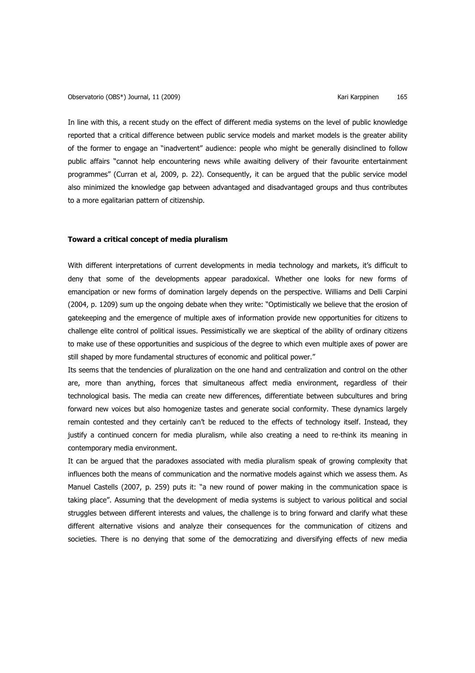In line with this, a recent study on the effect of different media systems on the level of public knowledge reported that a critical difference between public service models and market models is the greater ability of the former to engage an "inadvertent" audience: people who might be generally disinclined to follow public affairs "cannot help encountering news while awaiting delivery of their favourite entertainment programmes" (Curran et al, 2009, p. 22). Consequently, it can be argued that the public service model also minimized the knowledge gap between advantaged and disadvantaged groups and thus contributes to a more egalitarian pattern of citizenship.

# **Toward a critical concept of media pluralism**

With different interpretations of current developments in media technology and markets, it's difficult to deny that some of the developments appear paradoxical. Whether one looks for new forms of emancipation or new forms of domination largely depends on the perspective. Williams and Delli Carpini (2004, p. 1209) sum up the ongoing debate when they write: "Optimistically we believe that the erosion of gatekeeping and the emergence of multiple axes of information provide new opportunities for citizens to challenge elite control of political issues. Pessimistically we are skeptical of the ability of ordinary citizens to make use of these opportunities and suspicious of the degree to which even multiple axes of power are still shaped by more fundamental structures of economic and political power."

Its seems that the tendencies of pluralization on the one hand and centralization and control on the other are, more than anything, forces that simultaneous affect media environment, regardless of their technological basis. The media can create new differences, differentiate between subcultures and bring forward new voices but also homogenize tastes and generate social conformity. These dynamics largely remain contested and they certainly can't be reduced to the effects of technology itself. Instead, they justify a continued concern for media pluralism, while also creating a need to re-think its meaning in contemporary media environment.

It can be argued that the paradoxes associated with media pluralism speak of growing complexity that influences both the means of communication and the normative models against which we assess them. As Manuel Castells (2007, p. 259) puts it: "a new round of power making in the communication space is taking place". Assuming that the development of media systems is subject to various political and social struggles between different interests and values, the challenge is to bring forward and clarify what these different alternative visions and analyze their consequences for the communication of citizens and societies. There is no denying that some of the democratizing and diversifying effects of new media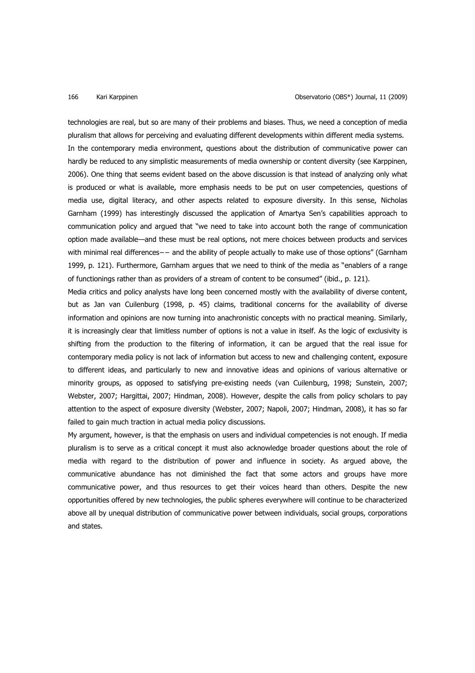technologies are real, but so are many of their problems and biases. Thus, we need a conception of media pluralism that allows for perceiving and evaluating different developments within different media systems. In the contemporary media environment, questions about the distribution of communicative power can hardly be reduced to any simplistic measurements of media ownership or content diversity (see Karppinen, 2006). One thing that seems evident based on the above discussion is that instead of analyzing only what is produced or what is available, more emphasis needs to be put on user competencies, questions of media use, digital literacy, and other aspects related to exposure diversity. In this sense, Nicholas Garnham (1999) has interestingly discussed the application of Amartya Sen's capabilities approach to communication policy and argued that "we need to take into account both the range of communication option made available—and these must be real options, not mere choices between products and services with minimal real differences−− and the ability of people actually to make use of those options" (Garnham 1999, p. 121). Furthermore, Garnham argues that we need to think of the media as "enablers of a range of functionings rather than as providers of a stream of content to be consumed" (ibid., p. 121).

Media critics and policy analysts have long been concerned mostly with the availability of diverse content, but as Jan van Cuilenburg (1998, p. 45) claims, traditional concerns for the availability of diverse information and opinions are now turning into anachronistic concepts with no practical meaning. Similarly, it is increasingly clear that limitless number of options is not a value in itself. As the logic of exclusivity is shifting from the production to the filtering of information, it can be argued that the real issue for contemporary media policy is not lack of information but access to new and challenging content, exposure to different ideas, and particularly to new and innovative ideas and opinions of various alternative or minority groups, as opposed to satisfying pre-existing needs (van Cuilenburg, 1998; Sunstein, 2007; Webster, 2007; Hargittai, 2007; Hindman, 2008). However, despite the calls from policy scholars to pay attention to the aspect of exposure diversity (Webster, 2007; Napoli, 2007; Hindman, 2008), it has so far failed to gain much traction in actual media policy discussions.

My argument, however, is that the emphasis on users and individual competencies is not enough. If media pluralism is to serve as a critical concept it must also acknowledge broader questions about the role of media with regard to the distribution of power and influence in society. As argued above, the communicative abundance has not diminished the fact that some actors and groups have more communicative power, and thus resources to get their voices heard than others. Despite the new opportunities offered by new technologies, the public spheres everywhere will continue to be characterized above all by unequal distribution of communicative power between individuals, social groups, corporations and states.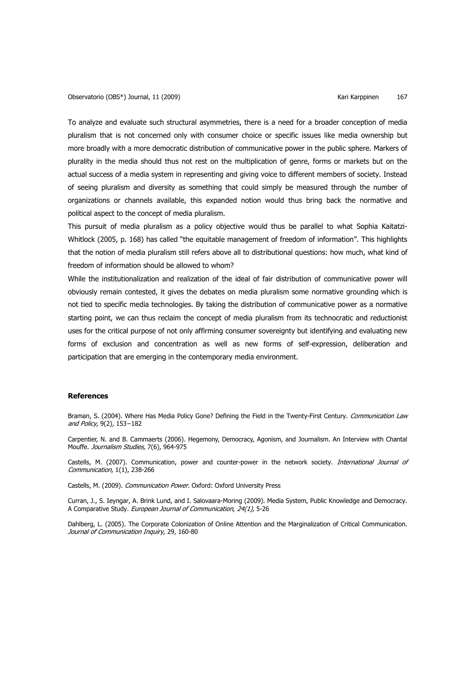To analyze and evaluate such structural asymmetries, there is a need for a broader conception of media pluralism that is not concerned only with consumer choice or specific issues like media ownership but more broadly with a more democratic distribution of communicative power in the public sphere. Markers of plurality in the media should thus not rest on the multiplication of genre, forms or markets but on the actual success of a media system in representing and giving voice to different members of society. Instead of seeing pluralism and diversity as something that could simply be measured through the number of organizations or channels available, this expanded notion would thus bring back the normative and political aspect to the concept of media pluralism.

This pursuit of media pluralism as a policy objective would thus be parallel to what Sophia Kaitatzi-Whitlock (2005, p. 168) has called "the equitable management of freedom of information". This highlights that the notion of media pluralism still refers above all to distributional questions: how much, what kind of freedom of information should be allowed to whom?

While the institutionalization and realization of the ideal of fair distribution of communicative power will obviously remain contested, it gives the debates on media pluralism some normative grounding which is not tied to specific media technologies. By taking the distribution of communicative power as a normative starting point, we can thus reclaim the concept of media pluralism from its technocratic and reductionist uses for the critical purpose of not only affirming consumer sovereignty but identifying and evaluating new forms of exclusion and concentration as well as new forms of self-expression, deliberation and participation that are emerging in the contemporary media environment.

### **References**

Braman, S. (2004). Where Has Media Policy Gone? Defining the Field in the Twenty-First Century. Communication Law and Policy, 9(2), 153−182

Carpentier, N. and B. Cammaerts (2006). Hegemony, Democracy, Agonism, and Journalism. An Interview with Chantal Mouffe. Journalism Studies, 7(6), 964-975

Castells, M. (2007). Communication, power and counter-power in the network society. International Journal of Communication, 1(1), 238-266

Castells, M. (2009). Communication Power. Oxford: Oxford University Press

Curran, J., S. Ieyngar, A. Brink Lund, and I. Salovaara-Moring (2009). Media System, Public Knowledge and Democracy. A Comparative Study. European Journal of Communication, 24(1), 5-26

Dahlberg, L. (2005). The Corporate Colonization of Online Attention and the Marginalization of Critical Communication. Journal of Communication Inquiry, 29, 160-80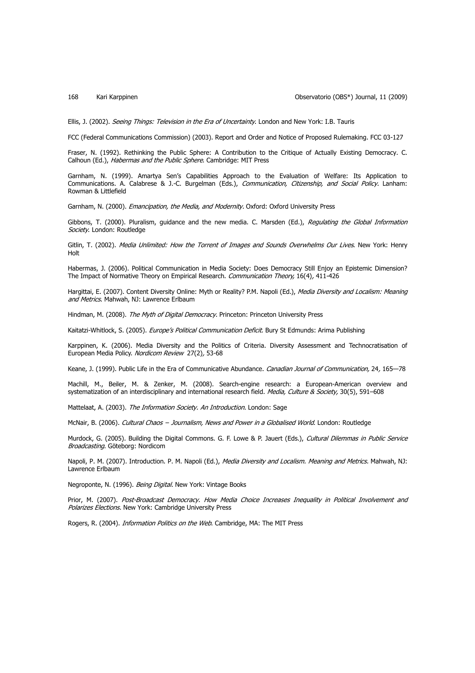168 Kari Karppinen Observatorio (OBS\*) Journal, 11 (2009)

Ellis, J. (2002). Seeing Things: Television in the Era of Uncertainty. London and New York: I.B. Tauris

FCC (Federal Communications Commission) (2003). Report and Order and Notice of Proposed Rulemaking. FCC 03-127

Fraser, N. (1992). Rethinking the Public Sphere: A Contribution to the Critique of Actually Existing Democracy. C. Calhoun (Ed.), Habermas and the Public Sphere. Cambridge: MIT Press

Garnham, N. (1999). Amartya Sen's Capabilities Approach to the Evaluation of Welfare: Its Application to Communications. A. Calabrese & J.-C. Burgelman (Eds.), Communication, Citizenship, and Social Policy. Lanham: Rowman & Littlefield

Garnham, N. (2000). Emancipation, the Media, and Modernity. Oxford: Oxford University Press

Gibbons, T. (2000). Pluralism, guidance and the new media. C. Marsden (Ed.), Regulating the Global Information Society. London: Routledge

Gitlin, T. (2002). Media Unlimited: How the Torrent of Images and Sounds Overwhelms Our Lives. New York: Henry Holt

Habermas, J. (2006). Political Communication in Media Society: Does Democracy Still Enjoy an Epistemic Dimension? The Impact of Normative Theory on Empirical Research. Communication Theory, 16(4), 411-426

Hargittai, E. (2007). Content Diversity Online: Myth or Reality? P.M. Napoli (Ed.), Media Diversity and Localism: Meaning and Metrics. Mahwah, NJ: Lawrence Erlbaum

Hindman, M. (2008). The Myth of Digital Democracy. Princeton: Princeton University Press

Kaitatzi-Whitlock, S. (2005). Europe's Political Communication Deficit. Bury St Edmunds: Arima Publishing

Karppinen, K. (2006). Media Diversity and the Politics of Criteria. Diversity Assessment and Technocratisation of European Media Policy. Nordicom Review 27(2), 53-68

Keane, J. (1999). Public Life in the Era of Communicative Abundance. Canadian Journal of Communication, 24, 165-78

Machill, M., Beiler, M. & Zenker, M. (2008). Search-engine research: a European-American overview and systematization of an interdisciplinary and international research field. Media, Culture & Society, 30(5), 591-608

Mattelaat, A. (2003). The Information Society. An Introduction. London: Sage

McNair, B. (2006). Cultural Chaos - Journalism, News and Power in a Globalised World. London: Routledge

Murdock, G. (2005). Building the Digital Commons. G. F. Lowe & P. Jauert (Eds.), Cultural Dilemmas in Public Service Broadcasting. Göteborg: Nordicom

Napoli, P. M. (2007). Introduction. P. M. Napoli (Ed.), *Media Diversity and Localism. Meaning and Metrics.* Mahwah, NJ: Lawrence Erlbaum

Negroponte, N. (1996). Being Digital. New York: Vintage Books

Prior, M. (2007). Post-Broadcast Democracy. How Media Choice Increases Inequality in Political Involvement and Polarizes Elections. New York: Cambridge University Press

Rogers, R. (2004). *Information Politics on the Web*. Cambridge, MA: The MIT Press